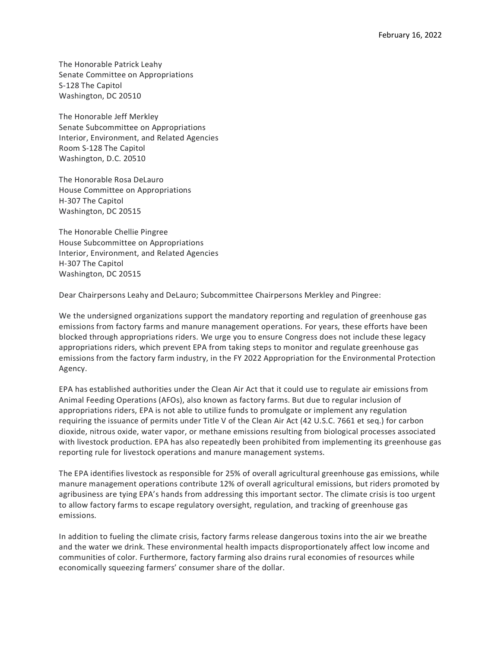The Honorable Patrick Leahy Senate Committee on Appropriations S-128 The Capitol Washington, DC 20510

The Honorable Jeff Merkley Senate Subcommittee on Appropriations Interior, Environment, and Related Agencies Room S-128 The Capitol Washington, D.C. 20510

The Honorable Rosa DeLauro House Committee on Appropriations H-307 The Capitol Washington, DC 20515

The Honorable Chellie Pingree House Subcommittee on Appropriations Interior, Environment, and Related Agencies H-307 The Capitol Washington, DC 20515

Dear Chairpersons Leahy and DeLauro; Subcommittee Chairpersons Merkley and Pingree:

We the undersigned organizations support the mandatory reporting and regulation of greenhouse gas emissions from factory farms and manure management operations. For years, these efforts have been blocked through appropriations riders. We urge you to ensure Congress does not include these legacy appropriations riders, which prevent EPA from taking steps to monitor and regulate greenhouse gas emissions from the factory farm industry, in the FY 2022 Appropriation for the Environmental Protection Agency.

EPA has established authorities under the Clean Air Act that it could use to regulate air emissions from Animal Feeding Operations (AFOs), also known as factory farms. But due to regular inclusion of appropriations riders, EPA is not able to utilize funds to promulgate or implement any regulation requiring the issuance of permits under Title V of the Clean Air Act (42 U.S.C. 7661 et seq.) for carbon dioxide, nitrous oxide, water vapor, or methane emissions resulting from biological processes associated with livestock production. EPA has also repeatedly been prohibited from implementing its greenhouse gas reporting rule for livestock operations and manure management systems.

The EPA identifies livestock as responsible for 25% of overall agricultural greenhouse gas emissions, while manure management operations contribute 12% of overall agricultural emissions, but riders promoted by agribusiness are tying EPA's hands from addressing this important sector. The climate crisis is too urgent to allow factory farms to escape regulatory oversight, regulation, and tracking of greenhouse gas emissions.

In addition to fueling the climate crisis, factory farms release dangerous toxins into the air we breathe and the water we drink. These environmental health impacts disproportionately affect low income and communities of color. Furthermore, factory farming also drains rural economies of resources while economically squeezing farmers' consumer share of the dollar.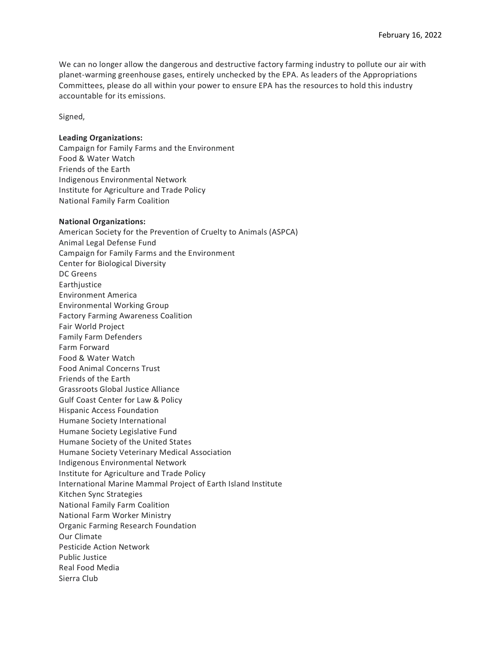We can no longer allow the dangerous and destructive factory farming industry to pollute our air with planet-warming greenhouse gases, entirely unchecked by the EPA. As leaders of the Appropriations Committees, please do all within your power to ensure EPA has the resources to hold this industry accountable for its emissions.

Signed,

## **Leading Organizations:**

Campaign for Family Farms and the Environment Food & Water Watch Friends of the Earth Indigenous Environmental Network Institute for Agriculture and Trade Policy National Family Farm Coalition

## **National Organizations:**

American Society for the Prevention of Cruelty to Animals (ASPCA) Animal Legal Defense Fund Campaign for Family Farms and the Environment Center for Biological Diversity DC Greens **Earthjustice** Environment America Environmental Working Group Factory Farming Awareness Coalition Fair World Project Family Farm Defenders Farm Forward Food & Water Watch Food Animal Concerns Trust Friends of the Earth Grassroots Global Justice Alliance Gulf Coast Center for Law & Policy Hispanic Access Foundation Humane Society International Humane Society Legislative Fund Humane Society of the United States Humane Society Veterinary Medical Association Indigenous Environmental Network Institute for Agriculture and Trade Policy International Marine Mammal Project of Earth Island Institute Kitchen Sync Strategies National Family Farm Coalition National Farm Worker Ministry Organic Farming Research Foundation Our Climate Pesticide Action Network Public Justice Real Food Media Sierra Club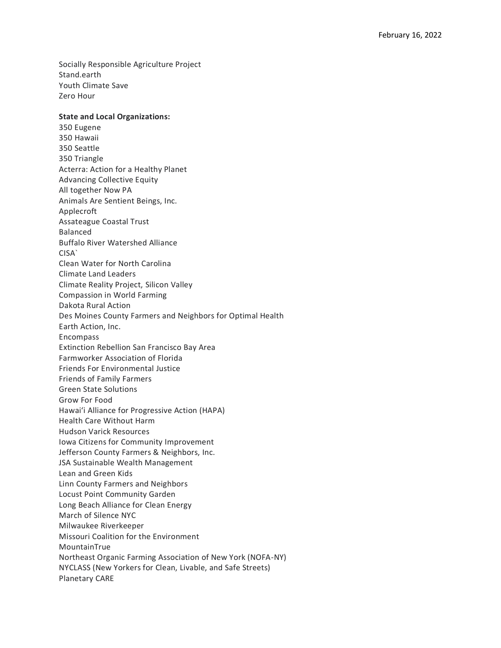Socially Responsible Agriculture Project Stand.earth Youth Climate Save Zero Hour

## **State and Local Organizations:**

350 Eugene 350 Hawaii 350 Seattle 350 Triangle Acterra: Action for a Healthy Planet Advancing Collective Equity All together Now PA Animals Are Sentient Beings, Inc. Applecroft Assateague Coastal Trust Balanced Buffalo River Watershed Alliance CISA` Clean Water for North Carolina Climate Land Leaders Climate Reality Project, Silicon Valley Compassion in World Farming Dakota Rural Action Des Moines County Farmers and Neighbors for Optimal Health Earth Action, Inc. Encompass Extinction Rebellion San Francisco Bay Area Farmworker Association of Florida Friends For Environmental Justice Friends of Family Farmers Green State Solutions Grow For Food Hawaiʻi Alliance for Progressive Action (HAPA) Health Care Without Harm Hudson Varick Resources Iowa Citizens for Community Improvement Jefferson County Farmers & Neighbors, Inc. JSA Sustainable Wealth Management Lean and Green Kids Linn County Farmers and Neighbors Locust Point Community Garden Long Beach Alliance for Clean Energy March of Silence NYC Milwaukee Riverkeeper Missouri Coalition for the Environment MountainTrue Northeast Organic Farming Association of New York (NOFA-NY) NYCLASS (New Yorkers for Clean, Livable, and Safe Streets) Planetary CARE